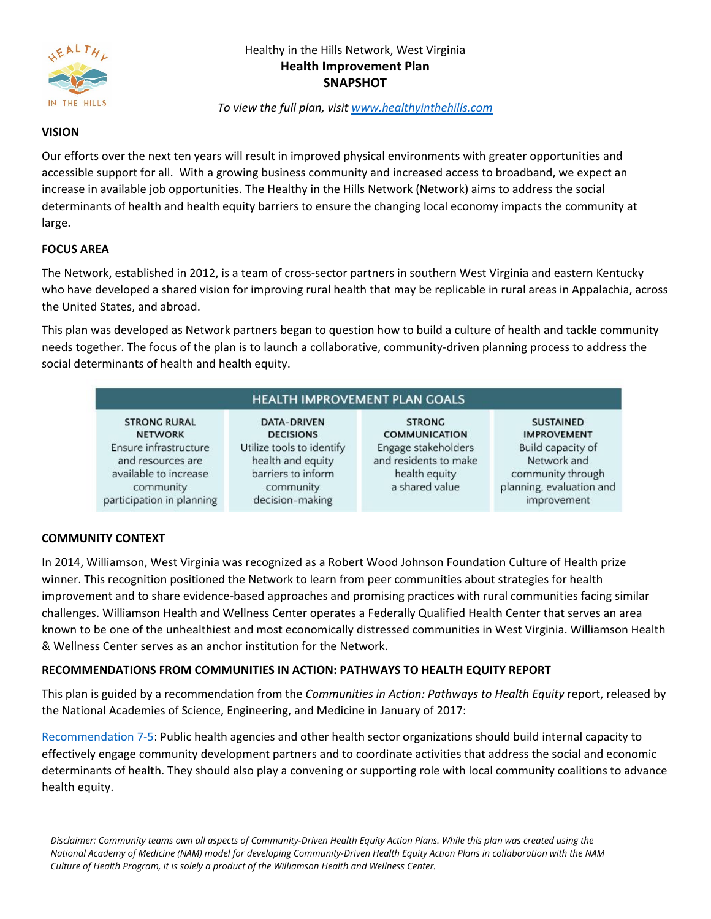

# Healthy in the Hills Network, West Virginia **Health Improvement Plan SNAPSHOT**

*To view the full plan, visit [www.healthyinthehills.com](http://www.healthyinthehills.com/)*

#### **VISION**

Our efforts over the next ten years will result in improved physical environments with greater opportunities and accessible support for all. With a growing business community and increased access to broadband, we expect an increase in available job opportunities. The Healthy in the Hills Network (Network) aims to address the social determinants of health and health equity barriers to ensure the changing local economy impacts the community at large.

### **FOCUS AREA**

The Network, established in 2012, is a team of cross-sector partners in southern West Virginia and eastern Kentucky who have developed a shared vision for improving rural health that may be replicable in rural areas in Appalachia, across the United States, and abroad.

This plan was developed as Network partners began to question how to build a culture of health and tackle community needs together. The focus of the plan is to launch a collaborative, community-driven planning process to address the social determinants of health and health equity.

| <b>HEALTH IMPROVEMENT PLAN GOALS</b> |  |
|--------------------------------------|--|
|                                      |  |

**STRONG RURAL NETWORK** Ensure infrastructure and resources are available to increase community participation in planning

DATA-DRIVEN **DECISIONS** Utilize tools to identify health and equity barriers to inform community decision-making

**STRONG COMMUNICATION** Engage stakeholders and residents to make health equity a shared value

**SUSTAINED IMPROVEMENT** Build capacity of Network and community through planning, evaluation and improvement

## **COMMUNITY CONTEXT**

In 2014, Williamson, West Virginia was recognized as a Robert Wood Johnson Foundation Culture of Health prize winner. This recognition positioned the Network to learn from peer communities about strategies for health improvement and to share evidence-based approaches and promising practices with rural communities facing similar challenges. Williamson Health and Wellness Center operates a Federally Qualified Health Center that serves an area known to be one of the unhealthiest and most economically distressed communities in West Virginia. Williamson Health & Wellness Center serves as an anchor institution for the Network.

## **RECOMMENDATIONS FROM COMMUNITIES IN ACTION: PATHWAYS TO HEALTH EQUITY REPORT**

This plan is guided by a recommendation from the *Communities in Action: Pathways to Health Equity* report, released by the National Academies of Science, Engineering, and Medicine in January of 2017:

[Recommendation 7-5:](https://www.nap.edu/read/24624/chapter/2) Public health agencies and other health sector organizations should build internal capacity to effectively engage community development partners and to coordinate activities that address the social and economic determinants of health. They should also play a convening or supporting role with local community coalitions to advance health equity.

*Disclaimer: Community teams own all aspects of Community-Driven Health Equity Action Plans. While this plan was created using the National Academy of Medicine (NAM) model for developing Community-Driven Health Equity Action Plans in collaboration with the NAM Culture of Health Program, it is solely a product of the Williamson Health and Wellness Center.*